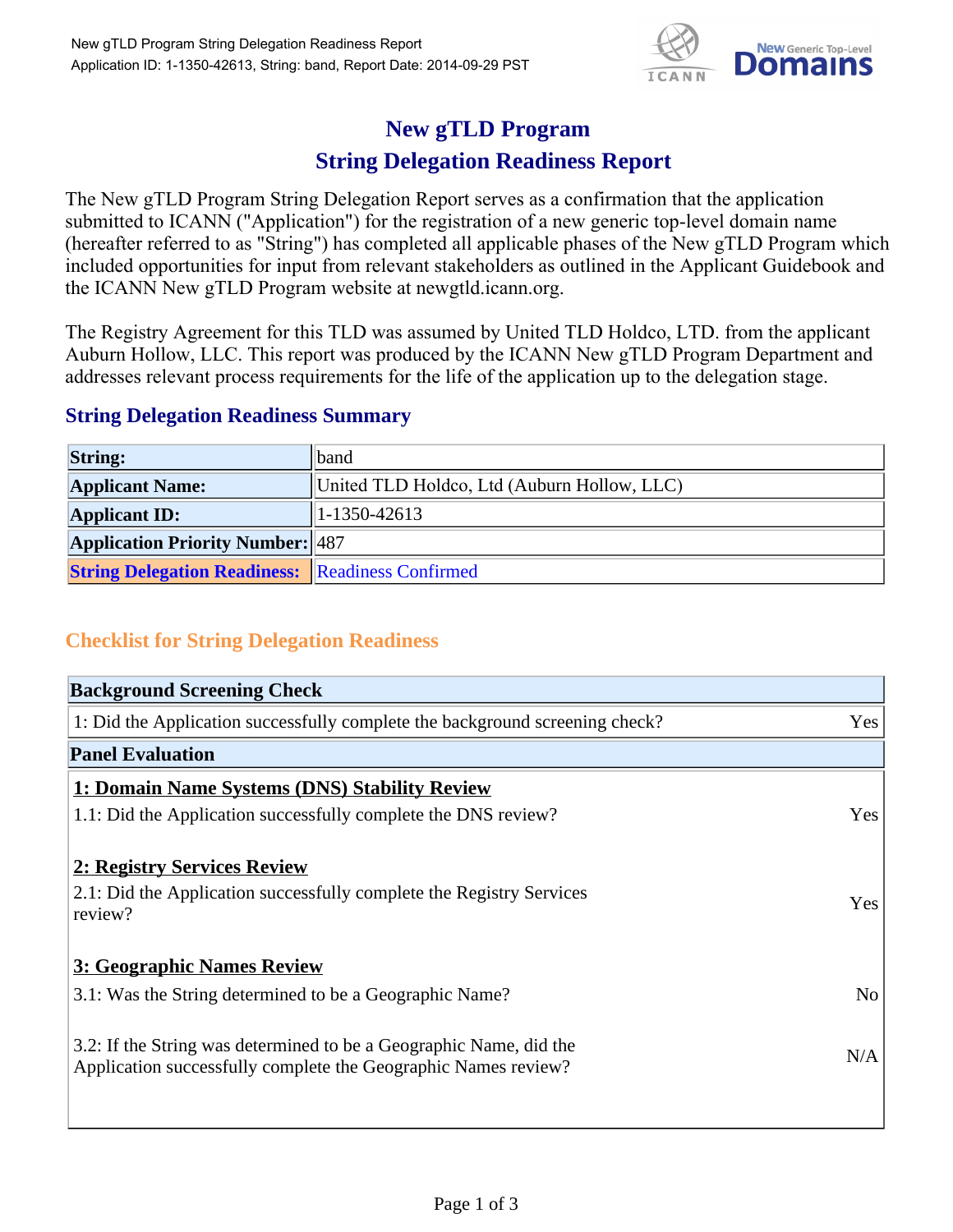

## **New gTLD Program**

## **String Delegation Readiness Report**

The New gTLD Program String Delegation Report serves as a confirmation that the application submitted to ICANN ("Application") for the registration of a new generic top-level domain name (hereafter referred to as "String") has completed all applicable phases of the New gTLD Program which included opportunities for input from relevant stakeholders as outlined in the Applicant Guidebook and the ICANN New gTLD Program website at newgtld.icann.org.

The Registry Agreement for this TLD was assumed by United TLD Holdco, LTD. from the applicant Auburn Hollow, LLC. This report was produced by the ICANN New gTLD Program Department and addresses relevant process requirements for the life of the application up to the delegation stage.

## **String Delegation Readiness Summary**

| <b>String:</b>                                          | band                                        |
|---------------------------------------------------------|---------------------------------------------|
| <b>Applicant Name:</b>                                  | United TLD Holdco, Ltd (Auburn Hollow, LLC) |
| <b>Applicant ID:</b>                                    | $1-1350-42613$                              |
| <b>Application Priority Number: 487</b>                 |                                             |
| <b>String Delegation Readiness: Readiness Confirmed</b> |                                             |

## **Checklist for String Delegation Readiness**

| <b>Background Screening Check</b>                                                                                                    |                |
|--------------------------------------------------------------------------------------------------------------------------------------|----------------|
| 1: Did the Application successfully complete the background screening check?                                                         | Yes            |
| <b>Panel Evaluation</b>                                                                                                              |                |
| 1: Domain Name Systems (DNS) Stability Review                                                                                        |                |
| 1.1: Did the Application successfully complete the DNS review?                                                                       | Yes            |
| 2: Registry Services Review<br>2.1: Did the Application successfully complete the Registry Services<br>review?                       | <b>Yes</b>     |
| 3: Geographic Names Review                                                                                                           |                |
| 3.1: Was the String determined to be a Geographic Name?                                                                              | N <sub>o</sub> |
| 3.2: If the String was determined to be a Geographic Name, did the<br>Application successfully complete the Geographic Names review? | N/A            |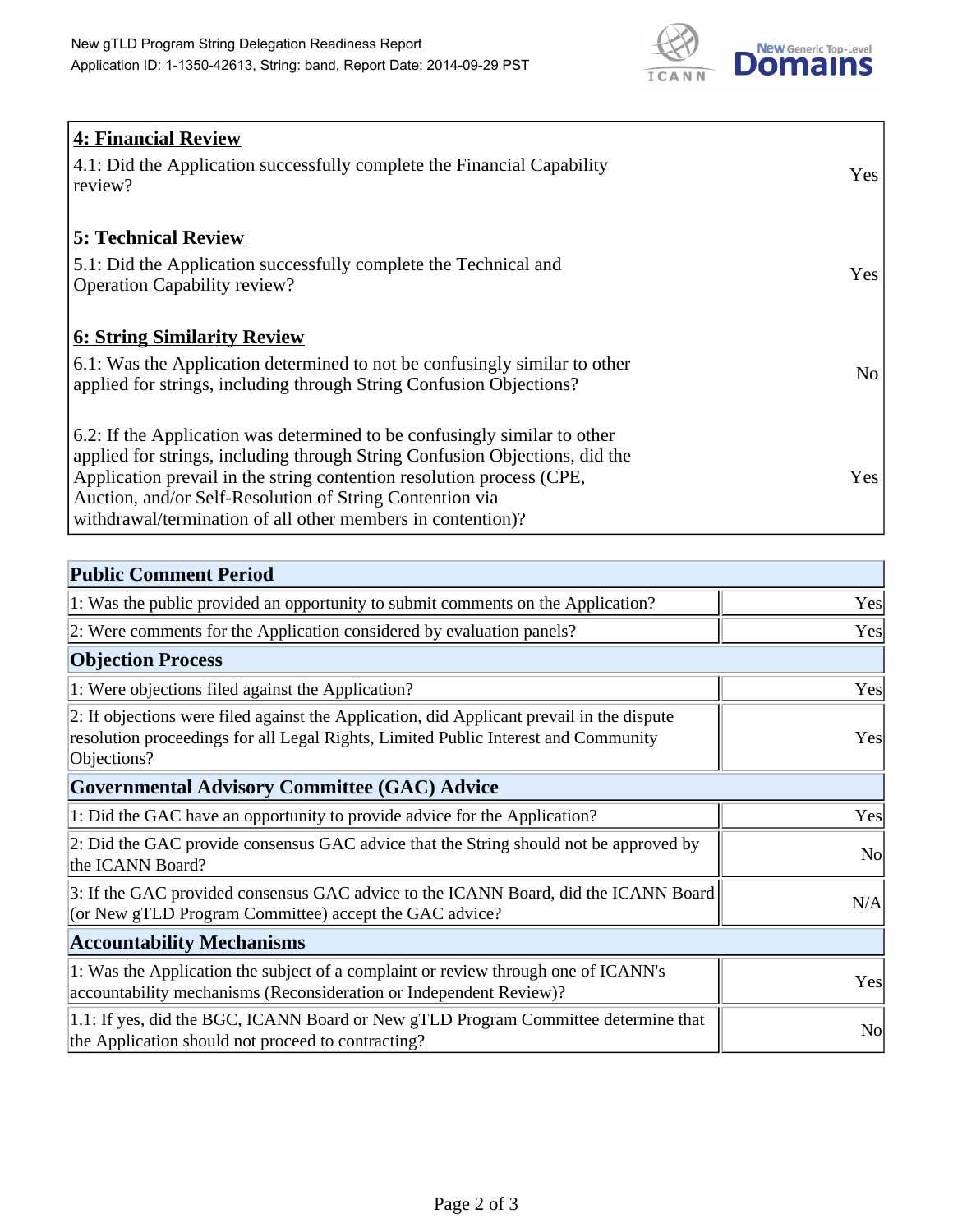

| <b>4: Financial Review</b>                                                         |            |
|------------------------------------------------------------------------------------|------------|
| $\vert$ 4.1: Did the Application successfully complete the Financial Capability    | <b>Yes</b> |
| review?                                                                            |            |
|                                                                                    |            |
| <b>5: Technical Review</b>                                                         |            |
| 5.1: Did the Application successfully complete the Technical and                   |            |
| <b>Operation Capability review?</b>                                                | <b>Yes</b> |
|                                                                                    |            |
| <b>6: String Similarity Review</b>                                                 |            |
| $\vert$ 6.1: Was the Application determined to not be confusingly similar to other | No         |
| applied for strings, including through String Confusion Objections?                |            |
|                                                                                    |            |
| 6.2: If the Application was determined to be confusingly similar to other          |            |
| applied for strings, including through String Confusion Objections, did the        |            |
| Application prevail in the string contention resolution process (CPE,              | Yes        |
| Auction, and/or Self-Resolution of String Contention via                           |            |
| withdrawal/termination of all other members in contention)?                        |            |

| <b>Public Comment Period</b>                                                                                                                                                                   |                |
|------------------------------------------------------------------------------------------------------------------------------------------------------------------------------------------------|----------------|
| 1: Was the public provided an opportunity to submit comments on the Application?                                                                                                               | Yes            |
| 2: Were comments for the Application considered by evaluation panels?                                                                                                                          | Yes            |
| <b>Objection Process</b>                                                                                                                                                                       |                |
| 1: Were objections filed against the Application?                                                                                                                                              | Yes            |
| 2: If objections were filed against the Application, did Applicant prevail in the dispute<br>resolution proceedings for all Legal Rights, Limited Public Interest and Community<br>Objections? | Yes            |
| Governmental Advisory Committee (GAC) Advice                                                                                                                                                   |                |
| 1: Did the GAC have an opportunity to provide advice for the Application?                                                                                                                      | Yes            |
| 2: Did the GAC provide consensus GAC advice that the String should not be approved by<br>the ICANN Board?                                                                                      | No             |
| 3: If the GAC provided consensus GAC advice to the ICANN Board, did the ICANN Board<br>(or New gTLD Program Committee) accept the GAC advice?                                                  | N/A            |
| <b>Accountability Mechanisms</b>                                                                                                                                                               |                |
| 1: Was the Application the subject of a complaint or review through one of ICANN's<br>accountability mechanisms (Reconsideration or Independent Review)?                                       | Yes            |
| 1.1: If yes, did the BGC, ICANN Board or New gTLD Program Committee determine that<br>the Application should not proceed to contracting?                                                       | N <sub>o</sub> |